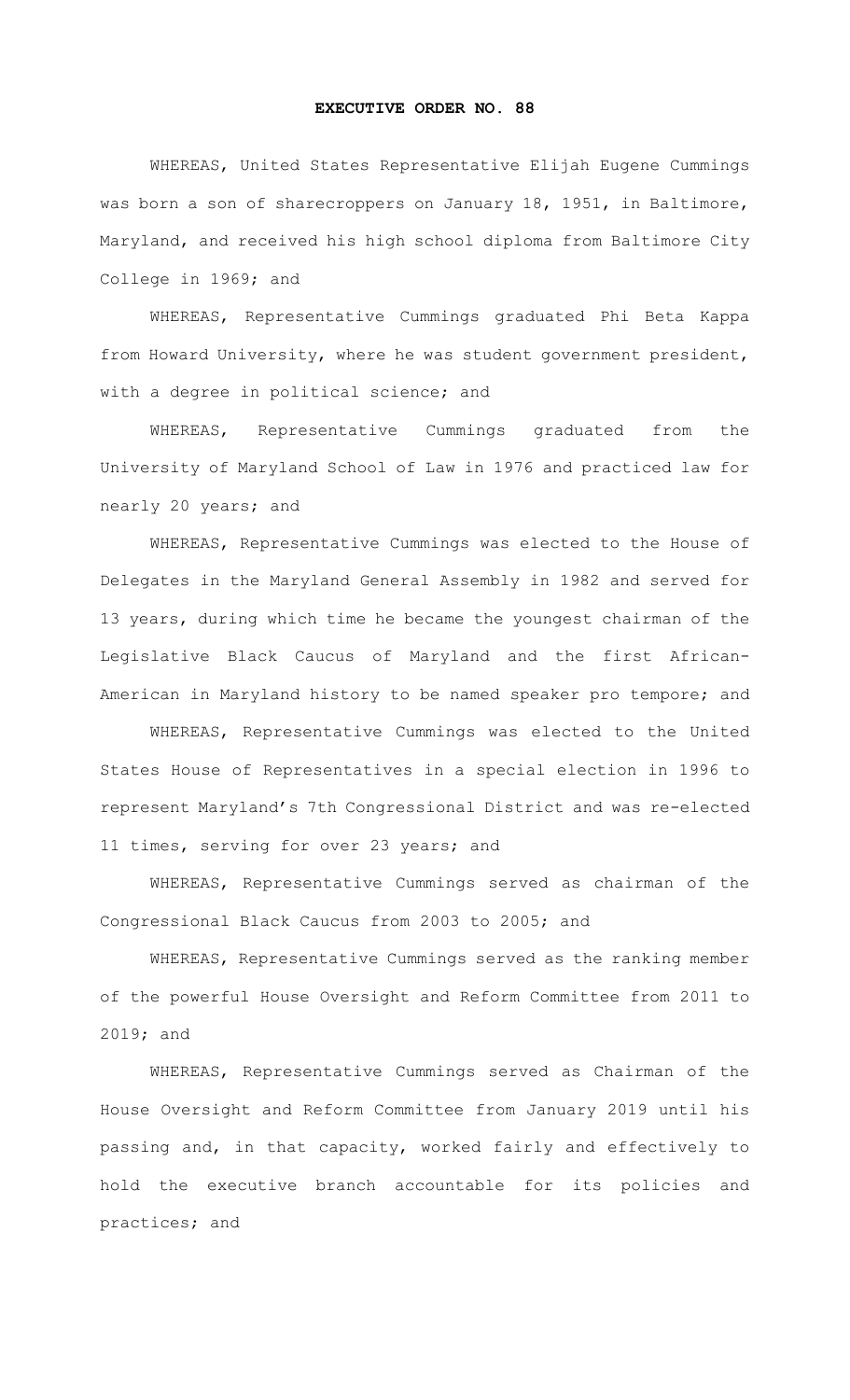## **EXECUTIVE ORDER NO. 88**

WHEREAS, United States Representative Elijah Eugene Cummings was born a son of sharecroppers on January 18, 1951, in Baltimore, Maryland, and received his high school diploma from Baltimore City College in 1969; and

WHEREAS, Representative Cummings graduated Phi Beta Kappa from Howard University, where he was student government president, with a degree in political science; and

WHEREAS, Representative Cummings graduated from the University of Maryland School of Law in 1976 and practiced law for nearly 20 years; and

WHEREAS, Representative Cummings was elected to the House of Delegates in the Maryland General Assembly in 1982 and served for 13 years, during which time he became the youngest chairman of the Legislative Black Caucus of Maryland and the first African-American in Maryland history to be named speaker pro tempore; and

WHEREAS, Representative Cummings was elected to the United States House of Representatives in a special election in 1996 to represent Maryland's 7th Congressional District and was re-elected 11 times, serving for over 23 years; and

WHEREAS, Representative Cummings served as chairman of the Congressional Black Caucus from 2003 to 2005; and

WHEREAS, Representative Cummings served as the ranking member of the powerful House Oversight and Reform Committee from 2011 to 2019; and

WHEREAS, Representative Cummings served as Chairman of the House Oversight and Reform Committee from January 2019 until his passing and, in that capacity, worked fairly and effectively to hold the executive branch accountable for its policies and practices; and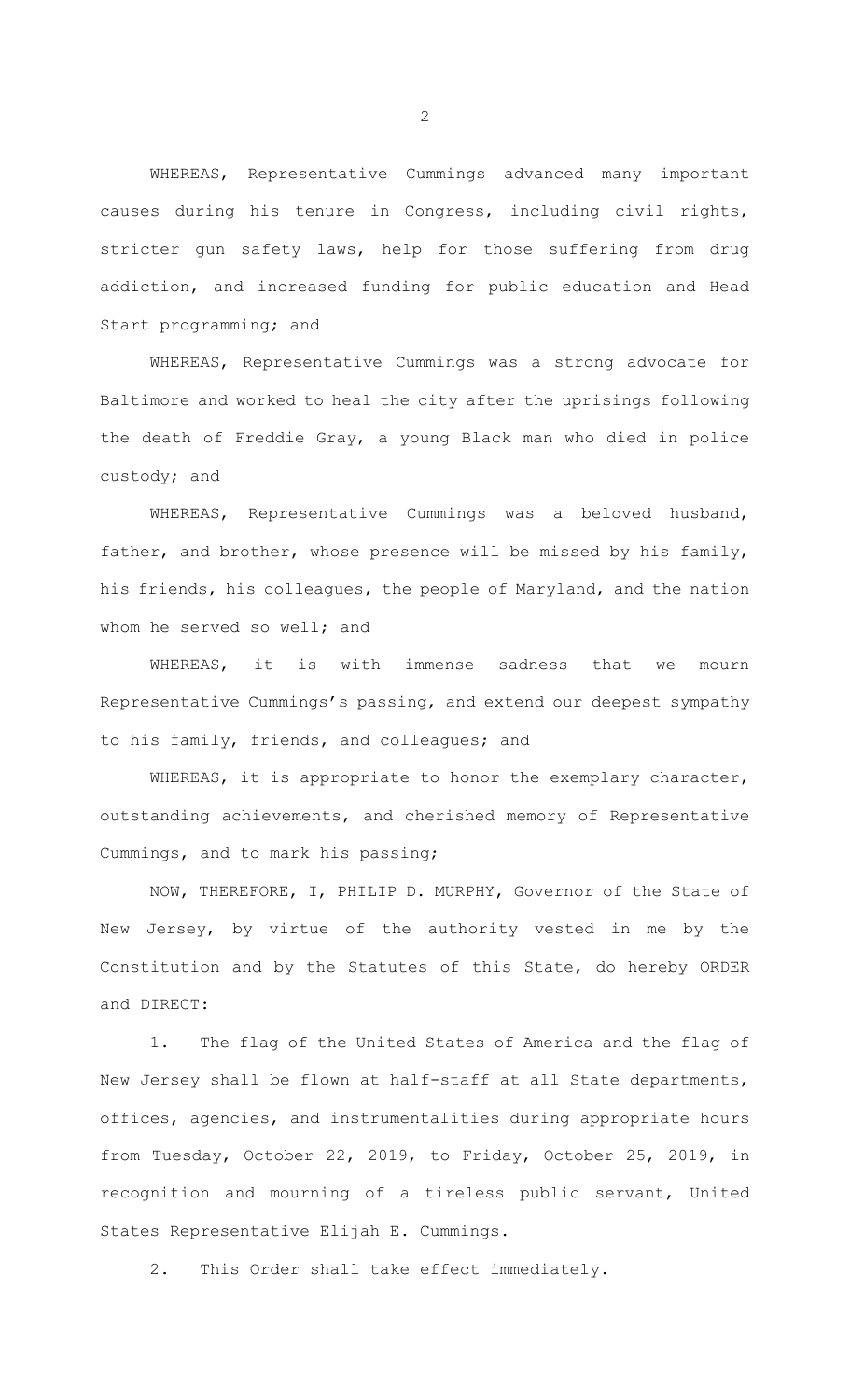WHEREAS, Representative Cummings advanced many important causes during his tenure in Congress, including civil rights, stricter gun safety laws, help for those suffering from drug addiction, and increased funding for public education and Head Start programming; and

WHEREAS, Representative Cummings was a strong advocate for Baltimore and worked to heal the city after the uprisings following the death of Freddie Gray, a young Black man who died in police custody; and

WHEREAS, Representative Cummings was a beloved husband, father, and brother, whose presence will be missed by his family, his friends, his colleagues, the people of Maryland, and the nation whom he served so well; and

WHEREAS, it is with immense sadness that we mourn Representative Cummings's passing, and extend our deepest sympathy to his family, friends, and colleagues; and

WHEREAS, it is appropriate to honor the exemplary character, outstanding achievements, and cherished memory of Representative Cummings, and to mark his passing;

NOW, THEREFORE, I, PHILIP D. MURPHY, Governor of the State of New Jersey, by virtue of the authority vested in me by the Constitution and by the Statutes of this State, do hereby ORDER and DIRECT:

1. The flag of the United States of America and the flag of New Jersey shall be flown at half-staff at all State departments, offices, agencies, and instrumentalities during appropriate hours from Tuesday, October 22, 2019, to Friday, October 25, 2019, in recognition and mourning of a tireless public servant, United States Representative Elijah E. Cummings.

2. This Order shall take effect immediately.

2